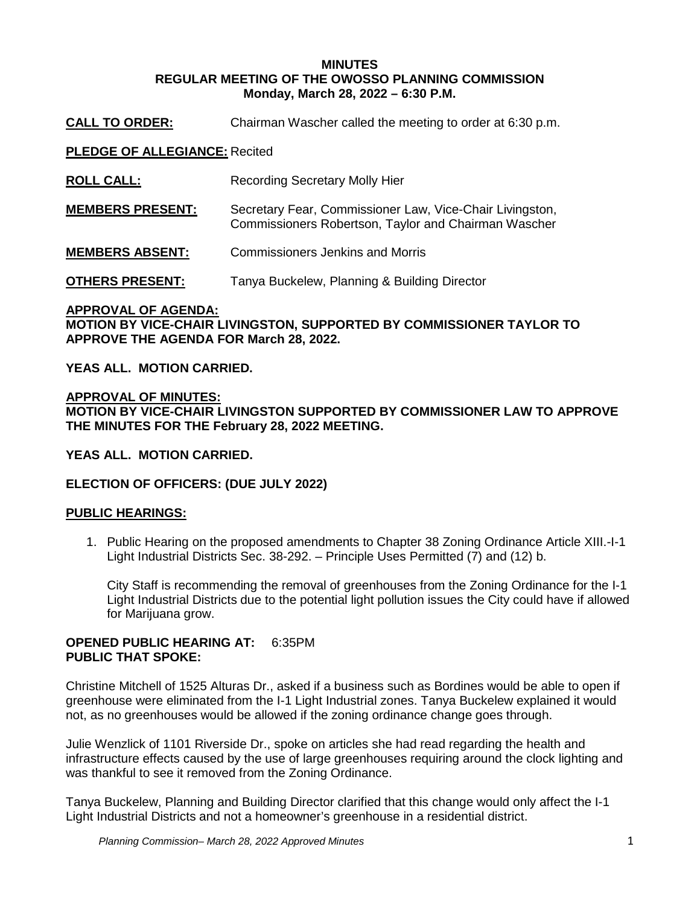#### **MINUTES REGULAR MEETING OF THE OWOSSO PLANNING COMMISSION Monday, March 28, 2022 – 6:30 P.M.**

**CALL TO ORDER:** Chairman Wascher called the meeting to order at 6:30 p.m.

**PLEDGE OF ALLEGIANCE:** Recited

**ROLL CALL:** Recording Secretary Molly Hier

**MEMBERS PRESENT:** Secretary Fear, Commissioner Law, Vice-Chair Livingston, Commissioners Robertson, Taylor and Chairman Wascher

**MEMBERS ABSENT:** Commissioners Jenkins and Morris

**OTHERS PRESENT:** Tanya Buckelew, Planning & Building Director

# **APPROVAL OF AGENDA: MOTION BY VICE-CHAIR LIVINGSTON, SUPPORTED BY COMMISSIONER TAYLOR TO APPROVE THE AGENDA FOR March 28, 2022.**

**YEAS ALL. MOTION CARRIED.**

**APPROVAL OF MINUTES: MOTION BY VICE-CHAIR LIVINGSTON SUPPORTED BY COMMISSIONER LAW TO APPROVE THE MINUTES FOR THE February 28, 2022 MEETING.** 

**YEAS ALL. MOTION CARRIED.**

# **ELECTION OF OFFICERS: (DUE JULY 2022)**

# **PUBLIC HEARINGS:**

1. Public Hearing on the proposed amendments to Chapter 38 Zoning Ordinance Article XIII.-I-1 Light Industrial Districts Sec. 38-292. – Principle Uses Permitted (7) and (12) b.

City Staff is recommending the removal of greenhouses from the Zoning Ordinance for the I-1 Light Industrial Districts due to the potential light pollution issues the City could have if allowed for Marijuana grow.

### **OPENED PUBLIC HEARING AT:** 6:35PM **PUBLIC THAT SPOKE:**

Christine Mitchell of 1525 Alturas Dr., asked if a business such as Bordines would be able to open if greenhouse were eliminated from the I-1 Light Industrial zones. Tanya Buckelew explained it would not, as no greenhouses would be allowed if the zoning ordinance change goes through.

Julie Wenzlick of 1101 Riverside Dr., spoke on articles she had read regarding the health and infrastructure effects caused by the use of large greenhouses requiring around the clock lighting and was thankful to see it removed from the Zoning Ordinance.

Tanya Buckelew, Planning and Building Director clarified that this change would only affect the I-1 Light Industrial Districts and not a homeowner's greenhouse in a residential district.